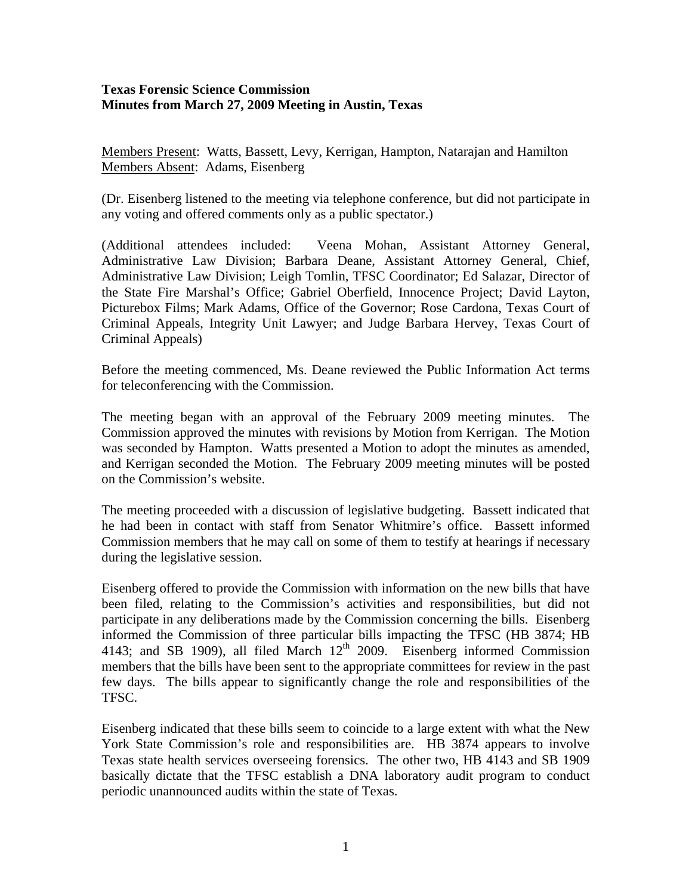## **Texas Forensic Science Commission Minutes from March 27, 2009 Meeting in Austin, Texas**

Members Present: Watts, Bassett, Levy, Kerrigan, Hampton, Natarajan and Hamilton Members Absent: Adams, Eisenberg

(Dr. Eisenberg listened to the meeting via telephone conference, but did not participate in any voting and offered comments only as a public spectator.)

(Additional attendees included: Veena Mohan, Assistant Attorney General, Administrative Law Division; Barbara Deane, Assistant Attorney General, Chief, Administrative Law Division; Leigh Tomlin, TFSC Coordinator; Ed Salazar, Director of the State Fire Marshal's Office; Gabriel Oberfield, Innocence Project; David Layton, Picturebox Films; Mark Adams, Office of the Governor; Rose Cardona, Texas Court of Criminal Appeals, Integrity Unit Lawyer; and Judge Barbara Hervey, Texas Court of Criminal Appeals)

Before the meeting commenced, Ms. Deane reviewed the Public Information Act terms for teleconferencing with the Commission.

The meeting began with an approval of the February 2009 meeting minutes. The Commission approved the minutes with revisions by Motion from Kerrigan. The Motion was seconded by Hampton. Watts presented a Motion to adopt the minutes as amended, and Kerrigan seconded the Motion. The February 2009 meeting minutes will be posted on the Commission's website.

The meeting proceeded with a discussion of legislative budgeting. Bassett indicated that he had been in contact with staff from Senator Whitmire's office. Bassett informed Commission members that he may call on some of them to testify at hearings if necessary during the legislative session.

Eisenberg offered to provide the Commission with information on the new bills that have been filed, relating to the Commission's activities and responsibilities, but did not participate in any deliberations made by the Commission concerning the bills. Eisenberg informed the Commission of three particular bills impacting the TFSC (HB 3874; HB 4143; and SB 1909), all filed March  $12<sup>th</sup>$  2009. Eisenberg informed Commission members that the bills have been sent to the appropriate committees for review in the past few days. The bills appear to significantly change the role and responsibilities of the TFSC.

Eisenberg indicated that these bills seem to coincide to a large extent with what the New York State Commission's role and responsibilities are. HB 3874 appears to involve Texas state health services overseeing forensics. The other two, HB 4143 and SB 1909 basically dictate that the TFSC establish a DNA laboratory audit program to conduct periodic unannounced audits within the state of Texas.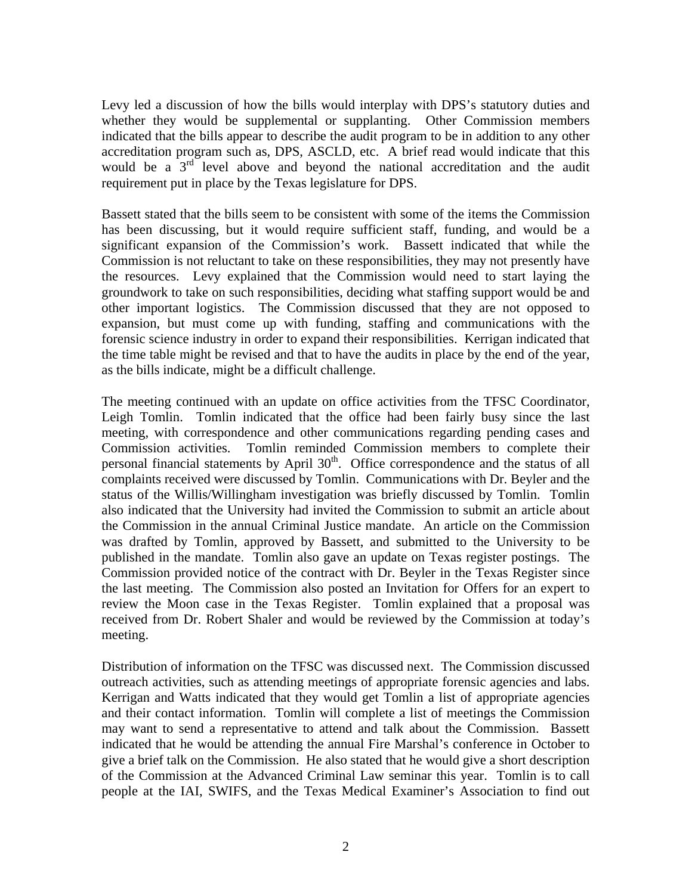Levy led a discussion of how the bills would interplay with DPS's statutory duties and whether they would be supplemental or supplanting. Other Commission members indicated that the bills appear to describe the audit program to be in addition to any other accreditation program such as, DPS, ASCLD, etc. A brief read would indicate that this would be a  $3<sup>rd</sup>$  level above and beyond the national accreditation and the audit requirement put in place by the Texas legislature for DPS.

Bassett stated that the bills seem to be consistent with some of the items the Commission has been discussing, but it would require sufficient staff, funding, and would be a significant expansion of the Commission's work. Bassett indicated that while the Commission is not reluctant to take on these responsibilities, they may not presently have the resources. Levy explained that the Commission would need to start laying the groundwork to take on such responsibilities, deciding what staffing support would be and other important logistics. The Commission discussed that they are not opposed to expansion, but must come up with funding, staffing and communications with the forensic science industry in order to expand their responsibilities. Kerrigan indicated that the time table might be revised and that to have the audits in place by the end of the year, as the bills indicate, might be a difficult challenge.

The meeting continued with an update on office activities from the TFSC Coordinator, Leigh Tomlin. Tomlin indicated that the office had been fairly busy since the last meeting, with correspondence and other communications regarding pending cases and Commission activities. Tomlin reminded Commission members to complete their personal financial statements by April  $30<sup>th</sup>$ . Office correspondence and the status of all complaints received were discussed by Tomlin. Communications with Dr. Beyler and the status of the Willis/Willingham investigation was briefly discussed by Tomlin. Tomlin also indicated that the University had invited the Commission to submit an article about the Commission in the annual Criminal Justice mandate. An article on the Commission was drafted by Tomlin, approved by Bassett, and submitted to the University to be published in the mandate. Tomlin also gave an update on Texas register postings. The Commission provided notice of the contract with Dr. Beyler in the Texas Register since the last meeting. The Commission also posted an Invitation for Offers for an expert to review the Moon case in the Texas Register. Tomlin explained that a proposal was received from Dr. Robert Shaler and would be reviewed by the Commission at today's meeting.

Distribution of information on the TFSC was discussed next. The Commission discussed outreach activities, such as attending meetings of appropriate forensic agencies and labs. Kerrigan and Watts indicated that they would get Tomlin a list of appropriate agencies and their contact information. Tomlin will complete a list of meetings the Commission may want to send a representative to attend and talk about the Commission. Bassett indicated that he would be attending the annual Fire Marshal's conference in October to give a brief talk on the Commission. He also stated that he would give a short description of the Commission at the Advanced Criminal Law seminar this year. Tomlin is to call people at the IAI, SWIFS, and the Texas Medical Examiner's Association to find out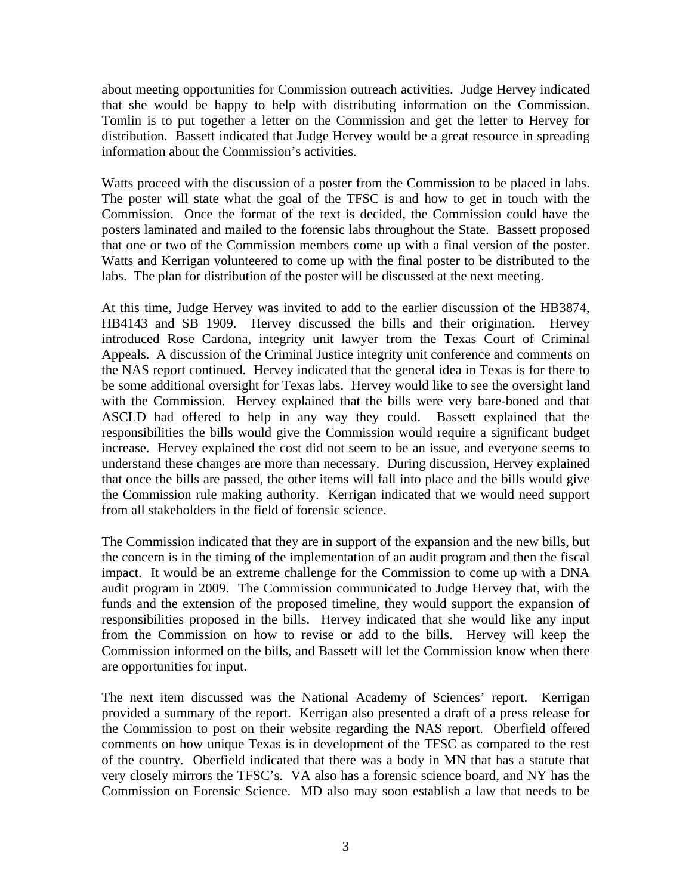about meeting opportunities for Commission outreach activities. Judge Hervey indicated that she would be happy to help with distributing information on the Commission. Tomlin is to put together a letter on the Commission and get the letter to Hervey for distribution. Bassett indicated that Judge Hervey would be a great resource in spreading information about the Commission's activities.

Watts proceed with the discussion of a poster from the Commission to be placed in labs. The poster will state what the goal of the TFSC is and how to get in touch with the Commission. Once the format of the text is decided, the Commission could have the posters laminated and mailed to the forensic labs throughout the State. Bassett proposed that one or two of the Commission members come up with a final version of the poster. Watts and Kerrigan volunteered to come up with the final poster to be distributed to the labs. The plan for distribution of the poster will be discussed at the next meeting.

At this time, Judge Hervey was invited to add to the earlier discussion of the HB3874, HB4143 and SB 1909. Hervey discussed the bills and their origination. Hervey introduced Rose Cardona, integrity unit lawyer from the Texas Court of Criminal Appeals. A discussion of the Criminal Justice integrity unit conference and comments on the NAS report continued. Hervey indicated that the general idea in Texas is for there to be some additional oversight for Texas labs. Hervey would like to see the oversight land with the Commission. Hervey explained that the bills were very bare-boned and that ASCLD had offered to help in any way they could. Bassett explained that the responsibilities the bills would give the Commission would require a significant budget increase. Hervey explained the cost did not seem to be an issue, and everyone seems to understand these changes are more than necessary. During discussion, Hervey explained that once the bills are passed, the other items will fall into place and the bills would give the Commission rule making authority. Kerrigan indicated that we would need support from all stakeholders in the field of forensic science.

The Commission indicated that they are in support of the expansion and the new bills, but the concern is in the timing of the implementation of an audit program and then the fiscal impact. It would be an extreme challenge for the Commission to come up with a DNA audit program in 2009. The Commission communicated to Judge Hervey that, with the funds and the extension of the proposed timeline, they would support the expansion of responsibilities proposed in the bills. Hervey indicated that she would like any input from the Commission on how to revise or add to the bills. Hervey will keep the Commission informed on the bills, and Bassett will let the Commission know when there are opportunities for input.

The next item discussed was the National Academy of Sciences' report. Kerrigan provided a summary of the report. Kerrigan also presented a draft of a press release for the Commission to post on their website regarding the NAS report. Oberfield offered comments on how unique Texas is in development of the TFSC as compared to the rest of the country. Oberfield indicated that there was a body in MN that has a statute that very closely mirrors the TFSC's. VA also has a forensic science board, and NY has the Commission on Forensic Science. MD also may soon establish a law that needs to be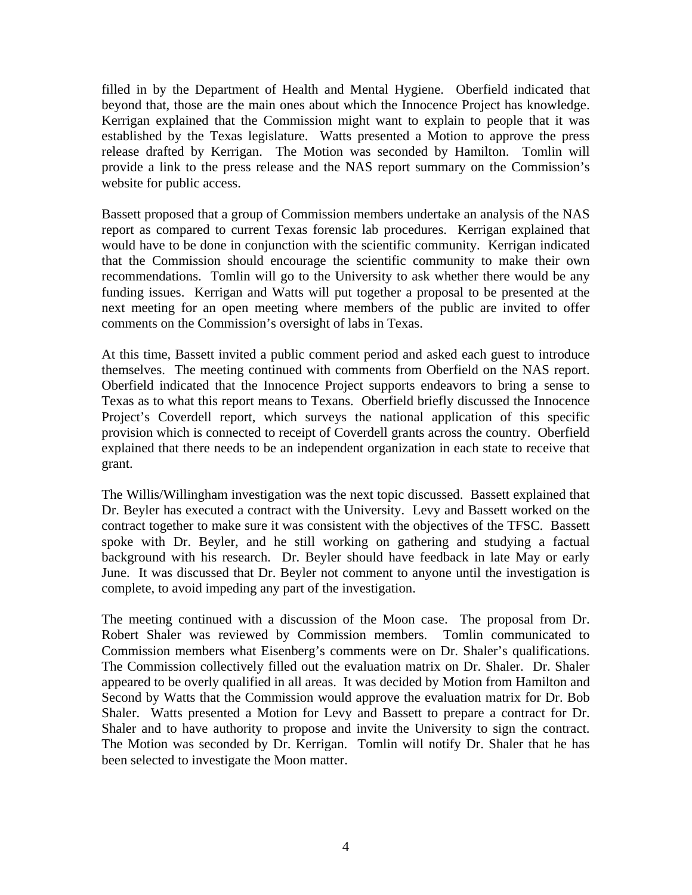filled in by the Department of Health and Mental Hygiene. Oberfield indicated that beyond that, those are the main ones about which the Innocence Project has knowledge. Kerrigan explained that the Commission might want to explain to people that it was established by the Texas legislature. Watts presented a Motion to approve the press release drafted by Kerrigan. The Motion was seconded by Hamilton. Tomlin will provide a link to the press release and the NAS report summary on the Commission's website for public access.

Bassett proposed that a group of Commission members undertake an analysis of the NAS report as compared to current Texas forensic lab procedures. Kerrigan explained that would have to be done in conjunction with the scientific community. Kerrigan indicated that the Commission should encourage the scientific community to make their own recommendations. Tomlin will go to the University to ask whether there would be any funding issues. Kerrigan and Watts will put together a proposal to be presented at the next meeting for an open meeting where members of the public are invited to offer comments on the Commission's oversight of labs in Texas.

At this time, Bassett invited a public comment period and asked each guest to introduce themselves. The meeting continued with comments from Oberfield on the NAS report. Oberfield indicated that the Innocence Project supports endeavors to bring a sense to Texas as to what this report means to Texans. Oberfield briefly discussed the Innocence Project's Coverdell report, which surveys the national application of this specific provision which is connected to receipt of Coverdell grants across the country. Oberfield explained that there needs to be an independent organization in each state to receive that grant.

The Willis/Willingham investigation was the next topic discussed. Bassett explained that Dr. Beyler has executed a contract with the University. Levy and Bassett worked on the contract together to make sure it was consistent with the objectives of the TFSC. Bassett spoke with Dr. Beyler, and he still working on gathering and studying a factual background with his research. Dr. Beyler should have feedback in late May or early June. It was discussed that Dr. Beyler not comment to anyone until the investigation is complete, to avoid impeding any part of the investigation.

The meeting continued with a discussion of the Moon case. The proposal from Dr. Robert Shaler was reviewed by Commission members. Tomlin communicated to Commission members what Eisenberg's comments were on Dr. Shaler's qualifications. The Commission collectively filled out the evaluation matrix on Dr. Shaler. Dr. Shaler appeared to be overly qualified in all areas. It was decided by Motion from Hamilton and Second by Watts that the Commission would approve the evaluation matrix for Dr. Bob Shaler. Watts presented a Motion for Levy and Bassett to prepare a contract for Dr. Shaler and to have authority to propose and invite the University to sign the contract. The Motion was seconded by Dr. Kerrigan. Tomlin will notify Dr. Shaler that he has been selected to investigate the Moon matter.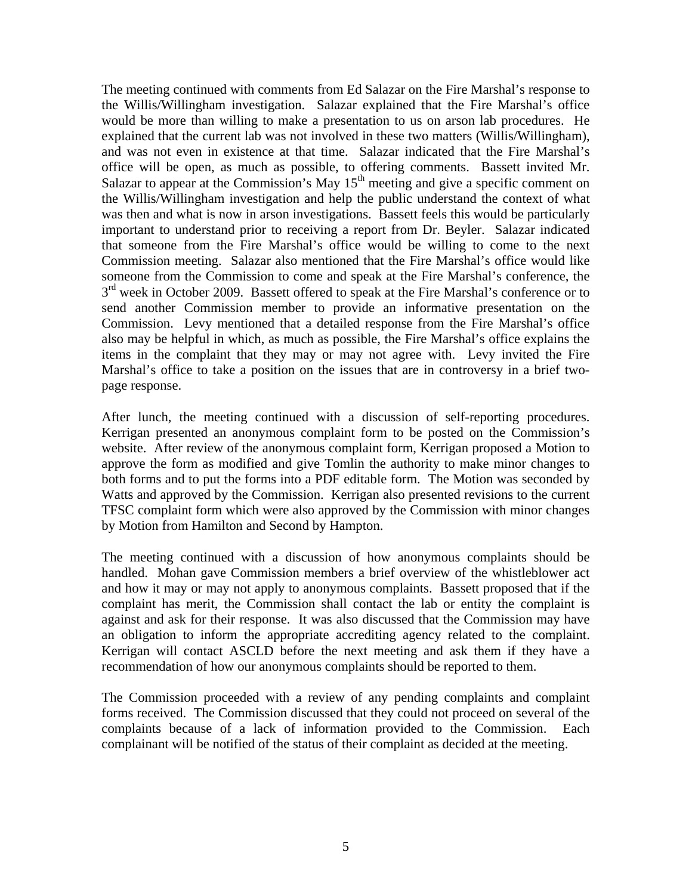The meeting continued with comments from Ed Salazar on the Fire Marshal's response to the Willis/Willingham investigation. Salazar explained that the Fire Marshal's office would be more than willing to make a presentation to us on arson lab procedures. He explained that the current lab was not involved in these two matters (Willis/Willingham), and was not even in existence at that time. Salazar indicated that the Fire Marshal's office will be open, as much as possible, to offering comments. Bassett invited Mr. Salazar to appear at the Commission's May  $15<sup>th</sup>$  meeting and give a specific comment on the Willis/Willingham investigation and help the public understand the context of what was then and what is now in arson investigations. Bassett feels this would be particularly important to understand prior to receiving a report from Dr. Beyler. Salazar indicated that someone from the Fire Marshal's office would be willing to come to the next Commission meeting. Salazar also mentioned that the Fire Marshal's office would like someone from the Commission to come and speak at the Fire Marshal's conference, the  $3<sup>rd</sup>$  week in October 2009. Bassett offered to speak at the Fire Marshal's conference or to send another Commission member to provide an informative presentation on the Commission. Levy mentioned that a detailed response from the Fire Marshal's office also may be helpful in which, as much as possible, the Fire Marshal's office explains the items in the complaint that they may or may not agree with. Levy invited the Fire Marshal's office to take a position on the issues that are in controversy in a brief twopage response.

After lunch, the meeting continued with a discussion of self-reporting procedures. Kerrigan presented an anonymous complaint form to be posted on the Commission's website. After review of the anonymous complaint form, Kerrigan proposed a Motion to approve the form as modified and give Tomlin the authority to make minor changes to both forms and to put the forms into a PDF editable form. The Motion was seconded by Watts and approved by the Commission. Kerrigan also presented revisions to the current TFSC complaint form which were also approved by the Commission with minor changes by Motion from Hamilton and Second by Hampton.

The meeting continued with a discussion of how anonymous complaints should be handled. Mohan gave Commission members a brief overview of the whistleblower act and how it may or may not apply to anonymous complaints. Bassett proposed that if the complaint has merit, the Commission shall contact the lab or entity the complaint is against and ask for their response. It was also discussed that the Commission may have an obligation to inform the appropriate accrediting agency related to the complaint. Kerrigan will contact ASCLD before the next meeting and ask them if they have a recommendation of how our anonymous complaints should be reported to them.

The Commission proceeded with a review of any pending complaints and complaint forms received. The Commission discussed that they could not proceed on several of the complaints because of a lack of information provided to the Commission. Each complainant will be notified of the status of their complaint as decided at the meeting.